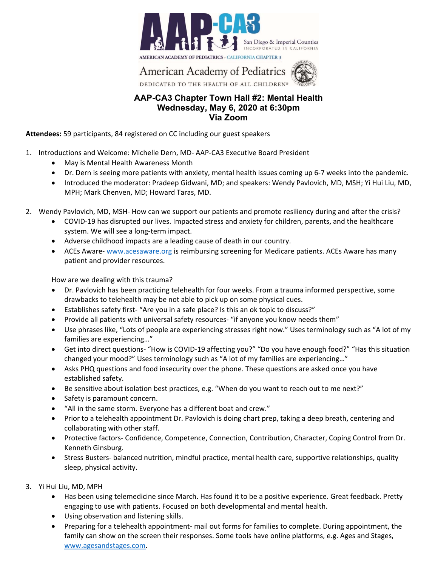

**American Academy of Pediatrics** DEDICATED TO THE HEALTH OF ALL CHILDREN®

## **AAP-CA3 Chapter Town Hall #2: Mental Health Wednesday, May 6, 2020 at 6:30pm Via Zoom**

**Attendees:** 59 participants, 84 registered on CC including our guest speakers

- 1. Introductions and Welcome: Michelle Dern, MD‐ AAP‐CA3 Executive Board President
	- May is Mental Health Awareness Month
	- Dr. Dern is seeing more patients with anxiety, mental health issues coming up 6‐7 weeks into the pandemic.
	- Introduced the moderator: Pradeep Gidwani, MD; and speakers: Wendy Pavlovich, MD, MSH; Yi Hui Liu, MD, MPH; Mark Chenven, MD; Howard Taras, MD.
- 2. Wendy Pavlovich, MD, MSH- How can we support our patients and promote resiliency during and after the crisis?
	- COVID-19 has disrupted our lives. Impacted stress and anxiety for children, parents, and the healthcare system. We will see a long-term impact.
	- Adverse childhood impacts are a leading cause of death in our country.
	- ACEs Aware- www.acesaware.org is reimbursing screening for Medicare patients. ACEs Aware has many patient and provider resources.

How are we dealing with this trauma?

- Dr. Pavlovich has been practicing telehealth for four weeks. From a trauma informed perspective, some drawbacks to telehealth may be not able to pick up on some physical cues.
- Establishes safety first‐ "Are you in a safe place? Is this an ok topic to discuss?"
- Provide all patients with universal safety resources- "if anyone you know needs them"
- Use phrases like, "Lots of people are experiencing stresses right now." Uses terminology such as "A lot of my families are experiencing…"
- Get into direct questions‐ "How is COVID‐19 affecting you?" "Do you have enough food?" "Has this situation changed your mood?" Uses terminology such as "A lot of my families are experiencing…"
- Asks PHQ questions and food insecurity over the phone. These questions are asked once you have established safety.
- Be sensitive about isolation best practices, e.g. "When do you want to reach out to me next?"
- Safety is paramount concern.
- "All in the same storm. Everyone has a different boat and crew."
- Prior to a telehealth appointment Dr. Pavlovich is doing chart prep, taking a deep breath, centering and collaborating with other staff.
- Protective factors- Confidence, Competence, Connection, Contribution, Character, Coping Control from Dr. Kenneth Ginsburg.
- Stress Busters- balanced nutrition, mindful practice, mental health care, supportive relationships, quality sleep, physical activity.
- 3. Yi Hui Liu, MD, MPH
	- Has been using telemedicine since March. Has found it to be a positive experience. Great feedback. Pretty engaging to use with patients. Focused on both developmental and mental health.
	- Using observation and listening skills.
	- Preparing for a telehealth appointment- mail out forms for families to complete. During appointment, the family can show on the screen their responses. Some tools have online platforms, e.g. Ages and Stages, www.agesandstages.com.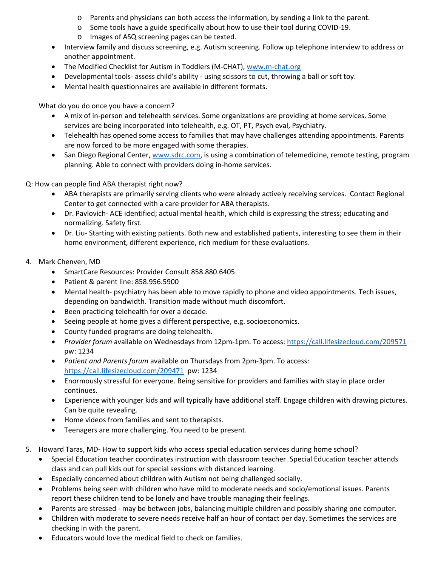- o Parents and physicians can both access the information, by sending a link to the parent.
- o Some tools have a guide specifically about how to use their tool during COVID‐19.
- o Images of ASQ screening pages can be texted.
- Interview family and discuss screening, e.g. Autism screening. Follow up telephone interview to address or another appointment.
- The Modified Checklist for Autism in Toddlers (M-CHAT), www.m-chat.org
- Developmental tools- assess child's ability using scissors to cut, throwing a ball or soft toy.
- Mental health questionnaires are available in different formats.

What do you do once you have a concern?

- A mix of in‐person and telehealth services. Some organizations are providing at home services. Some services are being incorporated into telehealth, e.g. OT, PT, Psych eval, Psychiatry.
- Telehealth has opened some access to families that may have challenges attending appointments. Parents are now forced to be more engaged with some therapies.
- San Diego Regional Center, www.sdrc.com, is using a combination of telemedicine, remote testing, program planning. Able to connect with providers doing in‐home services.

Q: How can people find ABA therapist right now?

- ABA therapists are primarily serving clients who were already actively receiving services. Contact Regional Center to get connected with a care provider for ABA therapists.
- Dr. Pavlovich-ACE identified; actual mental health, which child is expressing the stress; educating and normalizing. Safety first.
- Dr. Liu-Starting with existing patients. Both new and established patients, interesting to see them in their home environment, different experience, rich medium for these evaluations.
- 4. Mark Chenven, MD
	- SmartCare Resources: Provider Consult 858.880.6405
	- Patient & parent line: 858.956.5900
	- Mental health- psychiatry has been able to move rapidly to phone and video appointments. Tech issues, depending on bandwidth. Transition made without much discomfort.
	- Been practicing telehealth for over a decade.
	- Seeing people at home gives a different perspective, e.g. socioeconomics.
	- County funded programs are doing telehealth.
	- *Provider forum* available on Wednesdays from 12pm-1pm. To access: https://call.lifesizecloud.com/209571 pw: 1234
	- *Patient and Parents forum* available on Thursdays from 2pm‐3pm. To access: https://call.lifesizecloud.com/209471 pw: 1234
	- Enormously stressful for everyone. Being sensitive for providers and families with stay in place order continues.
	- Experience with younger kids and will typically have additional staff. Engage children with drawing pictures. Can be quite revealing.
	- Home videos from families and sent to therapists.
	- Teenagers are more challenging. You need to be present.
- 5. Howard Taras, MD- How to support kids who access special education services during home school?
	- Special Education teacher coordinates instruction with classroom teacher. Special Education teacher attends class and can pull kids out for special sessions with distanced learning.
	- Especially concerned about children with Autism not being challenged socially.
	- Problems being seen with children who have mild to moderate needs and socio/emotional issues. Parents report these children tend to be lonely and have trouble managing their feelings.
	- Parents are stressed ‐ may be between jobs, balancing multiple children and possibly sharing one computer.
	- Children with moderate to severe needs receive half an hour of contact per day. Sometimes the services are checking in with the parent.
	- Educators would love the medical field to check on families.